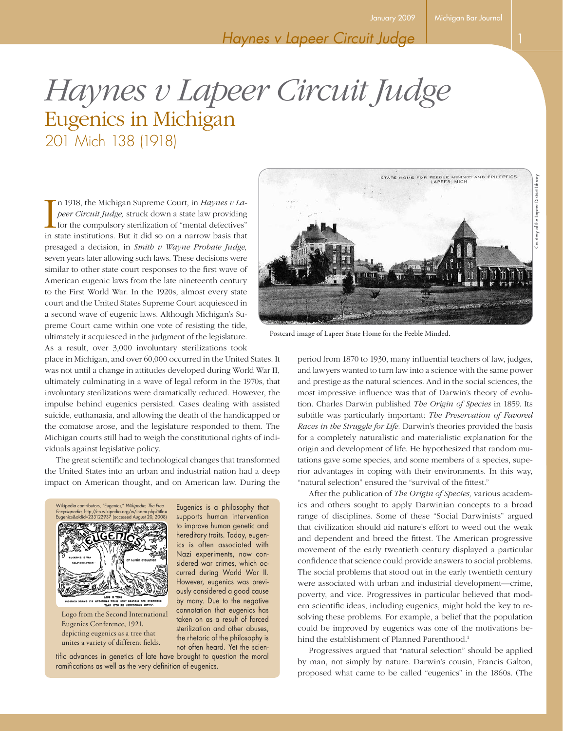# *Haynes v Lapeer Circuit Judge* Eugenics in Michigan 201 Mich 138 (1918)

In 1918, the Michigan Supreme Court, in *Haynes v Lapeer Circuit Judge*, struck down a state law providing for the compulsory sterilization of "mental defectives" in state institutions. But it did so on a narrow basis tha n 1918, the Michigan Supreme Court, in *Haynes v Lapeer Circuit Judge,* struck down a state law providing for the compulsory sterilization of "mental defectives" presaged a decision, in *Smith v Wayne Probate Judge,* seven years later allowing such laws. These decisions were similar to other state court responses to the first wave of American eugenic laws from the late nineteenth century to the First World War. In the 1920s, almost every state court and the United States Supreme Court acquiesced in a second wave of eugenic laws. Although Michigan's Supreme Court came within one vote of resisting the tide, ultimately it acquiesced in the judgment of the legislature. As a result, over 3,000 involuntary sterilizations took

place in Michigan, and over 60,000 occurred in the United States. It was not until a change in attitudes developed during World War II, ultimately culminating in a wave of legal reform in the 1970s, that involuntary sterilizations were dramatically reduced. However, the impulse behind eugenics persisted. Cases dealing with assisted suicide, euthanasia, and allowing the death of the handicapped or the comatose arose, and the legislature responded to them. The Michigan courts still had to weigh the constitutional rights of individuals against legislative policy.

The great scientific and technological changes that transformed the United States into an urban and industrial nation had a deep impact on American thought, and on American law. During the



supports human intervention to improve human genetic and hereditary traits. Today, eugenics is often associated with Nazi experiments, now considered war crimes, which occurred during World War II. However, eugenics was previously considered a good cause by many. Due to the negative connotation that eugenics has taken on as a result of forced sterilization and other abuses, the rhetoric of the philosophy is not often heard. Yet the scien-

tific advances in genetics of late have brought to question the moral ramifications as well as the very definition of eugenics.



Postcard image of Lapeer State Home for the Feeble Minded.

period from 1870 to 1930, many influential teachers of law, judges, and lawyers wanted to turn law into a science with the same power and prestige as the natural sciences. And in the social sciences, the most impressive influence was that of Darwin's theory of evolution. Charles Darwin published *The Origin of Species* in 1859. Its subtitle was particularly important: *The Preservation of Favored Races in the Struggle for Life.* Darwin's theories provided the basis for a completely naturalistic and materialistic explanation for the origin and development of life. He hypothesized that random mutations gave some species, and some members of a species, superior advantages in coping with their environments. In this way, "natural selection" ensured the "survival of the fittest."

After the publication of *The Origin of Species,* various academics and others sought to apply Darwinian concepts to a broad range of disciplines. Some of these "Social Darwinists" argued that civilization should aid nature's effort to weed out the weak and dependent and breed the fittest. The American progressive movement of the early twentieth century displayed a particular confidence that science could provide answers to social problems. The social problems that stood out in the early twentieth century were associated with urban and industrial development—crime, poverty, and vice. Progressives in particular believed that modern scientific ideas, including eugenics, might hold the key to resolving these problems. For example, a belief that the population could be improved by eugenics was one of the motivations behind the establishment of Planned Parenthood.<sup>1</sup>

Progressives argued that "natural selection" should be applied by man, not simply by nature. Darwin's cousin, Francis Galton, proposed what came to be called "eugenics" in the 1860s. (The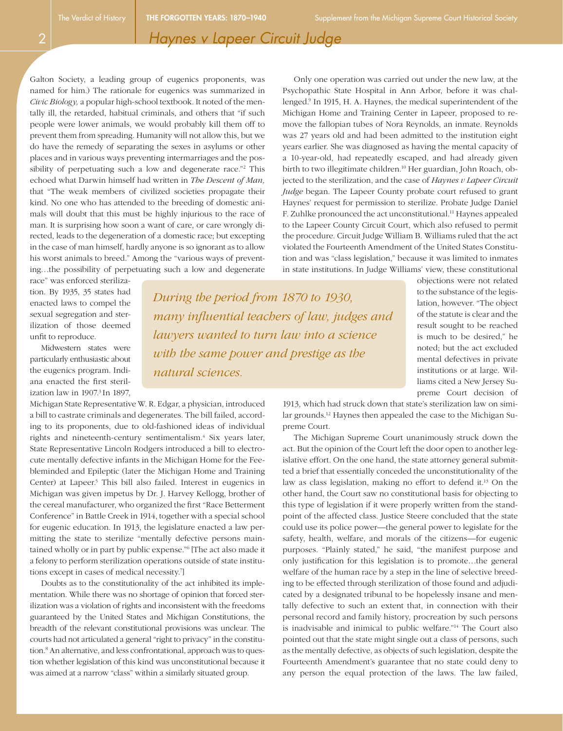## *Haynes v Lapeer Circuit Judge*

Galton Society, a leading group of eugenics proponents, was named for him.) The rationale for eugenics was summarized in *Civic Biology,* a popular high-school textbook. It noted of the mentally ill, the retarded, habitual criminals, and others that "if such people were lower animals, we would probably kill them off to prevent them from spreading. Humanity will not allow this, but we do have the remedy of separating the sexes in asylums or other places and in various ways preventing intermarriages and the possibility of perpetuating such a low and degenerate race."2 This echoed what Darwin himself had written in *The Descent of Man,*  that "The weak members of civilized societies propagate their kind. No one who has attended to the breeding of domestic animals will doubt that this must be highly injurious to the race of man. It is surprising how soon a want of care, or care wrongly directed, leads to the degeneration of a domestic race; but excepting in the case of man himself, hardly anyone is so ignorant as to allow his worst animals to breed." Among the "various ways of preventing…the possibility of perpetuating such a low and degenerate

race" was enforced sterilization. By 1935, 35 states had enacted laws to compel the sexual segregation and sterilization of those deemed unfit to reproduce.

Midwestern states were particularly enthusiastic about the eugenics program. Indiana enacted the first sterilization law in  $1907<sup>3</sup>$  In 1897,

*During the period from 1870 to 1930, many influential teachers of law, judges and lawyers wanted to turn law into a science with the same power and prestige as the natural sciences.*

Only one operation was carried out under the new law, at the Psychopathic State Hospital in Ann Arbor, before it was challenged.9 In 1915, H. A. Haynes, the medical superintendent of the Michigan Home and Training Center in Lapeer, proposed to remove the fallopian tubes of Nora Reynolds, an inmate. Reynolds was 27 years old and had been admitted to the institution eight years earlier. She was diagnosed as having the mental capacity of a 10-year-old, had repeatedly escaped, and had already given birth to two illegitimate children.<sup>10</sup> Her guardian, John Roach, objected to the sterilization, and the case of *Haynes v Lapeer Circuit Judge* began. The Lapeer County probate court refused to grant Haynes' request for permission to sterilize. Probate Judge Daniel F. Zuhlke pronounced the act unconstitutional.<sup>11</sup> Haynes appealed to the Lapeer County Circuit Court, which also refused to permit the procedure. Circuit Judge William B. Williams ruled that the act violated the Fourteenth Amendment of the United States Constitution and was "class legislation," because it was limited to inmates in state institutions. In Judge Williams' view, these constitutional

> objections were not related to the substance of the legislation, however. "The object of the statute is clear and the result sought to be reached is much to be desired," he noted; but the act excluded mental defectives in private institutions or at large. Williams cited a New Jersey Supreme Court decision of

Michigan State Representative W. R. Edgar, a physician, introduced a bill to castrate criminals and degenerates. The bill failed, according to its proponents, due to old-fashioned ideas of individual rights and nineteenth-century sentimentalism.<sup>4</sup> Six years later, State Representative Lincoln Rodgers introduced a bill to electrocute mentally defective infants in the Michigan Home for the Feebleminded and Epileptic (later the Michigan Home and Training Center) at Lapeer.<sup>5</sup> This bill also failed. Interest in eugenics in Michigan was given impetus by Dr. J. Harvey Kellogg, brother of the cereal manufacturer, who organized the first "Race Betterment Conference" in Battle Creek in 1914, together with a special school for eugenic education. In 1913, the legislature enacted a law permitting the state to sterilize "mentally defective persons maintained wholly or in part by public expense."6 [The act also made it a felony to perform sterilization operations outside of state institutions except in cases of medical necessity.7 ]

Doubts as to the constitutionality of the act inhibited its implementation. While there was no shortage of opinion that forced sterilization was a violation of rights and inconsistent with the freedoms guaranteed by the United States and Michigan Constitutions, the breadth of the relevant constitutional provisions was unclear. The courts had not articulated a general "right to privacy" in the constitution.<sup>8</sup> An alternative, and less confrontational, approach was to question whether legislation of this kind was unconstitutional because it was aimed at a narrow "class" within a similarly situated group.

1913, which had struck down that state's sterilization law on similar grounds.12 Haynes then appealed the case to the Michigan Supreme Court.

The Michigan Supreme Court unanimously struck down the act. But the opinion of the Court left the door open to another legislative effort. On the one hand, the state attorney general submitted a brief that essentially conceded the unconstitutionality of the law as class legislation, making no effort to defend it.13 On the other hand, the Court saw no constitutional basis for objecting to this type of legislation if it were properly written from the standpoint of the affected class. Justice Steere concluded that the state could use its police power—the general power to legislate for the safety, health, welfare, and morals of the citizens—for eugenic purposes. "Plainly stated," he said, "the manifest purpose and only justification for this legislation is to promote…the general welfare of the human race by a step in the line of selective breeding to be effected through sterilization of those found and adjudicated by a designated tribunal to be hopelessly insane and mentally defective to such an extent that, in connection with their personal record and family history, procreation by such persons is inadvisable and inimical to public welfare."14 The Court also pointed out that the state might single out a class of persons, such as the mentally defective, as objects of such legislation, despite the Fourteenth Amendment's guarantee that no state could deny to any person the equal protection of the laws. The law failed,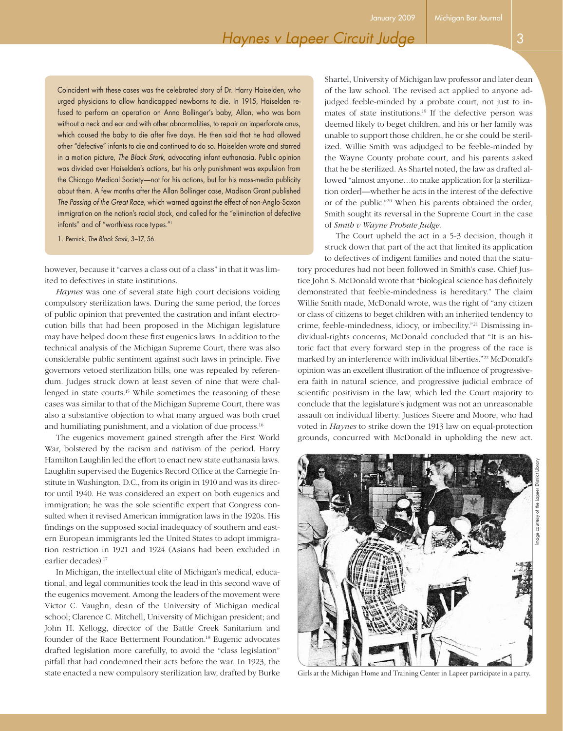## *Haynes v Lapeer Circuit Judge*

Coincident with these cases was the celebrated story of Dr. Harry Haiselden, who urged physicians to allow handicapped newborns to die. In 1915, Haiselden refused to perform an operation on Anna Bollinger's baby, Allan, who was born without a neck and ear and with other abnormalities, to repair an imperforate anus, which caused the baby to die after five days. He then said that he had allowed other "defective" infants to die and continued to do so. Haiselden wrote and starred in a motion picture, *The Black Stork,* advocating infant euthanasia. Public opinion was divided over Haiselden's actions, but his only punishment was expulsion from the Chicago Medical Society—not for his actions, but for his mass-media publicity about them. A few months after the Allan Bollinger case, Madison Grant published *The Passing of the Great Race,* which warned against the effect of non-Anglo-Saxon immigration on the nation's racial stock, and called for the "elimination of defective infants" and of "worthless race types."1

1. Pernick, *The Black Stork,* 3–17, 56.

however, because it "carves a class out of a class" in that it was limited to defectives in state institutions.

*Haynes* was one of several state high court decisions voiding compulsory sterilization laws. During the same period, the forces of public opinion that prevented the castration and infant electrocution bills that had been proposed in the Michigan legislature may have helped doom these first eugenics laws. In addition to the technical analysis of the Michigan Supreme Court, there was also considerable public sentiment against such laws in principle. Five governors vetoed sterilization bills; one was repealed by referendum. Judges struck down at least seven of nine that were challenged in state courts.<sup>15</sup> While sometimes the reasoning of these cases was similar to that of the Michigan Supreme Court, there was also a substantive objection to what many argued was both cruel and humiliating punishment, and a violation of due process.<sup>16</sup>

The eugenics movement gained strength after the First World War, bolstered by the racism and nativism of the period. Harry Hamilton Laughlin led the effort to enact new state euthanasia laws. Laughlin supervised the Eugenics Record Office at the Carnegie Institute in Washington, D.C., from its origin in 1910 and was its director until 1940. He was considered an expert on both eugenics and immigration; he was the sole scientific expert that Congress consulted when it revised American immigration laws in the 1920s. His findings on the supposed social inadequacy of southern and eastern European immigrants led the United States to adopt immigration restriction in 1921 and 1924 (Asians had been excluded in earlier decades).17

In Michigan, the intellectual elite of Michigan's medical, educational, and legal communities took the lead in this second wave of the eugenics movement. Among the leaders of the movement were Victor C. Vaughn, dean of the University of Michigan medical school; Clarence C. Mitchell, University of Michigan president; and John H. Kellogg, director of the Battle Creek Sanitarium and founder of the Race Betterment Foundation.18 Eugenic advocates drafted legislation more carefully, to avoid the "class legislation" pitfall that had condemned their acts before the war. In 1923, the state enacted a new compulsory sterilization law, drafted by Burke

Shartel, University of Michigan law professor and later dean of the law school. The revised act applied to anyone adjudged feeble-minded by a probate court, not just to inmates of state institutions.19 If the defective person was deemed likely to beget children, and his or her family was unable to support those children, he or she could be sterilized. Willie Smith was adjudged to be feeble-minded by the Wayne County probate court, and his parents asked that he be sterilized. As Shartel noted, the law as drafted allowed "almost anyone…to make application for [a sterilization order]—whether he acts in the interest of the defective or of the public."20 When his parents obtained the order, Smith sought its reversal in the Supreme Court in the case of *Smith v Wayne Probate Judge.*

The Court upheld the act in a 5-3 decision, though it struck down that part of the act that limited its application to defectives of indigent families and noted that the statu-

tory procedures had not been followed in Smith's case. Chief Justice John S. McDonald wrote that "biological science has definitely demonstrated that feeble-mindedness is hereditary." The claim Willie Smith made, McDonald wrote, was the right of "any citizen or class of citizens to beget children with an inherited tendency to crime, feeble-mindedness, idiocy, or imbecility."21 Dismissing individual-rights concerns, McDonald concluded that "It is an historic fact that every forward step in the progress of the race is marked by an interference with individual liberties."22 McDonald's opinion was an excellent illustration of the influence of progressiveera faith in natural science, and progressive judicial embrace of scientific positivism in the law, which led the Court majority to conclude that the legislature's judgment was not an unreasonable assault on individual liberty. Justices Steere and Moore, who had voted in *Haynes* to strike down the 1913 law on equal-protection grounds, concurred with McDonald in upholding the new act.



Girls at the Michigan Home and Training Center in Lapeer participate in a party.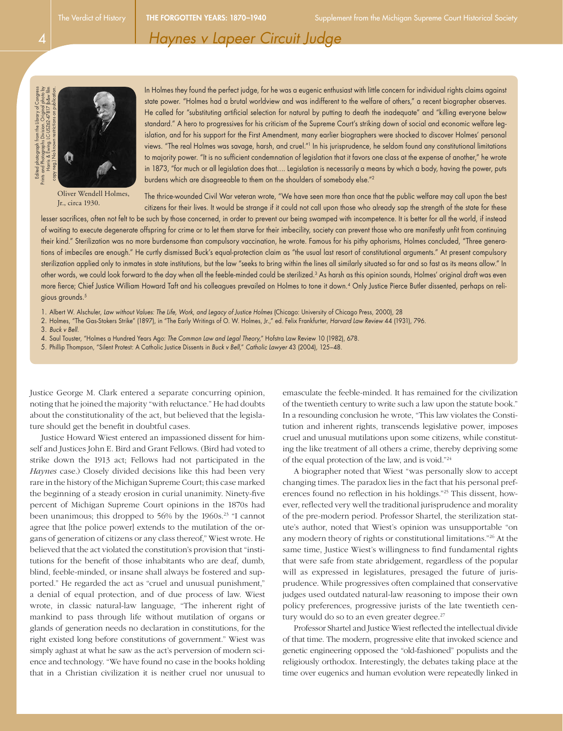4

# *Haynes v Lapeer Circuit Judge*



Oliver Wendell Holmes, Jr., circa 1930.

In Holmes they found the perfect judge, for he was a eugenic enthusiast with little concern for individual rights claims against state power. "Holmes had a brutal worldview and was indifferent to the welfare of others," a recent biographer observes. He called for "substituting artificial selection for natural by putting to death the inadequate" and "killing everyone below standard." A hero to progressives for his criticism of the Supreme Court's striking down of social and economic welfare legislation, and for his support for the First Amendment, many earlier biographers were shocked to discover Holmes' personal views. "The real Holmes was savage, harsh, and cruel."1 In his jurisprudence, he seldom found any constitutional limitations to majority power. "It is no sufficient condemnation of legislation that it favors one class at the expense of another," he wrote in 1873, "for much or all legislation does that…. Legislation is necessarily a means by which a body, having the power, puts burdens which are disagreeable to them on the shoulders of somebody else."2

The thrice-wounded Civil War veteran wrote, "We have seen more than once that the public welfare may call upon the best citizens for their lives. It would be strange if it could not call upon those who already sap the strength of the state for these

lesser sacrifices, often not felt to be such by those concerned, in order to prevent our being swamped with incompetence. It is better for all the world, if instead of waiting to execute degenerate offspring for crime or to let them starve for their imbecility, society can prevent those who are manifestly unfit from continuing their kind." Sterilization was no more burdensome than compulsory vaccination, he wrote. Famous for his pithy aphorisms, Holmes concluded, "Three generations of imbeciles are enough." He curtly dismissed Buck's equal-protection claim as "the usual last resort of constitutional arguments." At present compulsory sterilization applied only to inmates in state institutions, but the law "seeks to bring within the lines all similarly situated so far and so fast as its means allow." In other words, we could look forward to the day when all the feeble-minded could be sterilized.<sup>3</sup> As harsh as this opinion sounds, Holmes' original draft was even more fierce; Chief Justice William Howard Taft and his colleagues prevailed on Holmes to tone it down.4 Only Justice Pierce Butler dissented, perhaps on religious grounds.<sup>5</sup>

1. Albert W. Alschuler, *Law without Values: The Life, Work, and Legacy of Justice Holmes* (Chicago: University of Chicago Press, 2000), 28

- 2. Holmes, "The Gas-Stokers Strike" (1897), in "The Early Writings of O. W. Holmes, Jr.," ed. Felix Frankfurter, *Harvard Law Review* 44 (1931), 796.
- 3. *Buck v Bell.*
- 4. Saul Touster, "Holmes a Hundred Years Ago: *The Common Law and Legal Theory,*" Hofstra Law Review 10 (1982), 678.
- 5. Phillip Thompson, "Silent Protest: A Catholic Justice Dissents in *Buck v Bell,*" *Catholic Lawyer* 43 (2004), 125–48.

Justice George M. Clark entered a separate concurring opinion, noting that he joined the majority "with reluctance." He had doubts about the constitutionality of the act, but believed that the legislature should get the benefit in doubtful cases.

Justice Howard Wiest entered an impassioned dissent for himself and Justices John E. Bird and Grant Fellows. (Bird had voted to strike down the 1913 act; Fellows had not participated in the *Haynes* case.) Closely divided decisions like this had been very rare in the history of the Michigan Supreme Court; this case marked the beginning of a steady erosion in curial unanimity. Ninety-five percent of Michigan Supreme Court opinions in the 1870s had been unanimous; this dropped to  $56\%$  by the  $1960s$ .<sup>23</sup> "I cannot agree that [the police power] extends to the mutilation of the organs of generation of citizens or any class thereof," Wiest wrote. He believed that the act violated the constitution's provision that "institutions for the benefit of those inhabitants who are deaf, dumb, blind, feeble-minded, or insane shall always be fostered and supported." He regarded the act as "cruel and unusual punishment," a denial of equal protection, and of due process of law. Wiest wrote, in classic natural-law language, "The inherent right of mankind to pass through life without mutilation of organs or glands of generation needs no declaration in constitutions, for the right existed long before constitutions of government." Wiest was simply aghast at what he saw as the act's perversion of modern science and technology. "We have found no case in the books holding that in a Christian civilization it is neither cruel nor unusual to

emasculate the feeble-minded. It has remained for the civilization of the twentieth century to write such a law upon the statute book." In a resounding conclusion he wrote, "This law violates the Constitution and inherent rights, transcends legislative power, imposes cruel and unusual mutilations upon some citizens, while constituting the like treatment of all others a crime, thereby depriving some of the equal protection of the law, and is void."24

A biographer noted that Wiest "was personally slow to accept changing times. The paradox lies in the fact that his personal preferences found no reflection in his holdings."25 This dissent, however, reflected very well the traditional jurisprudence and morality of the pre-modern period. Professor Shartel, the sterilization statute's author, noted that Wiest's opinion was unsupportable "on any modern theory of rights or constitutional limitations."26 At the same time, Justice Wiest's willingness to find fundamental rights that were safe from state abridgement, regardless of the popular will as expressed in legislatures, presaged the future of jurisprudence. While progressives often complained that conservative judges used outdated natural-law reasoning to impose their own policy preferences, progressive jurists of the late twentieth century would do so to an even greater degree.<sup>27</sup>

Professor Shartel and Justice Wiest reflected the intellectual divide of that time. The modern, progressive elite that invoked science and genetic engineering opposed the "old-fashioned" populists and the religiously orthodox. Interestingly, the debates taking place at the time over eugenics and human evolution were repeatedly linked in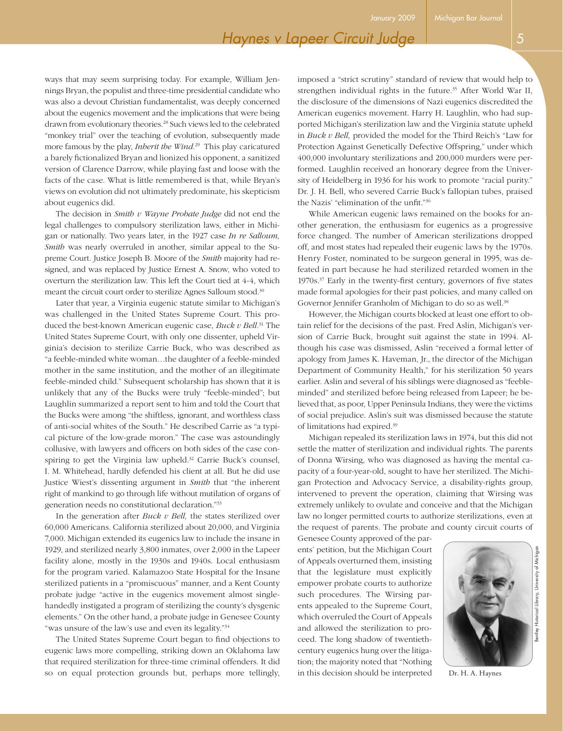# *Haynes v Lapeer Circuit Judge*

ways that may seem surprising today. For example, William Jennings Bryan, the populist and three-time presidential candidate who was also a devout Christian fundamentalist, was deeply concerned about the eugenics movement and the implications that were being drawn from evolutionary theories.<sup>28</sup> Such views led to the celebrated "monkey trial" over the teaching of evolution, subsequently made more famous by the play, *Inherit the Wind.*29 This play caricatured a barely fictionalized Bryan and lionized his opponent, a sanitized version of Clarence Darrow, while playing fast and loose with the facts of the case. What is little remembered is that, while Bryan's views on evolution did not ultimately predominate, his skepticism about eugenics did.

The decision in *Smith v Wayne Probate Judge* did not end the legal challenges to compulsory sterilization laws, either in Michigan or nationally. Two years later, in the 1927 case *In re Salloum, Smith* was nearly overruled in another, similar appeal to the Supreme Court. Justice Joseph B. Moore of the *Smith* majority had resigned, and was replaced by Justice Ernest A. Snow, who voted to overturn the sterilization law. This left the Court tied at 4-4, which meant the circuit court order to sterilize Agnes Salloum stood.30

Later that year, a Virginia eugenic statute similar to Michigan's was challenged in the United States Supreme Court. This produced the best-known American eugenic case, *Buck v Bell.*31 The United States Supreme Court, with only one dissenter, upheld Virginia's decision to sterilize Carrie Buck, who was described as "a feeble-minded white woman…the daughter of a feeble-minded mother in the same institution, and the mother of an illegitimate feeble-minded child." Subsequent scholarship has shown that it is unlikely that any of the Bucks were truly "feeble-minded"; but Laughlin summarized a report sent to him and told the Court that the Bucks were among "the shiftless, ignorant, and worthless class of anti-social whites of the South." He described Carrie as "a typical picture of the low-grade moron." The case was astoundingly collusive, with lawyers and officers on both sides of the case conspiring to get the Virginia law upheld.<sup>32</sup> Carrie Buck's counsel, I. M. Whitehead, hardly defended his client at all. But he did use Justice Wiest's dissenting argument in *Smith* that "the inherent right of mankind to go through life without mutilation of organs of generation needs no constitutional declaration."33

In the generation after *Buck v Bell,* the states sterilized over 60,000 Americans. California sterilized about 20,000, and Virginia 7,000. Michigan extended its eugenics law to include the insane in 1929, and sterilized nearly 3,800 inmates, over 2,000 in the Lapeer facility alone, mostly in the 1930s and 1940s. Local enthusiasm for the program varied. Kalamazoo State Hospital for the Insane sterilized patients in a "promiscuous" manner, and a Kent County probate judge "active in the eugenics movement almost singlehandedly instigated a program of sterilizing the county's dysgenic elements." On the other hand, a probate judge in Genesee County "was unsure of the law's use and even its legality."34

The United States Supreme Court began to find objections to eugenic laws more compelling, striking down an Oklahoma law that required sterilization for three-time criminal offenders. It did so on equal protection grounds but, perhaps more tellingly, imposed a "strict scrutiny" standard of review that would help to strengthen individual rights in the future.<sup>35</sup> After World War II, the disclosure of the dimensions of Nazi eugenics discredited the American eugenics movement. Harry H. Laughlin, who had supported Michigan's sterilization law and the Virginia statute upheld in *Buck v Bell,* provided the model for the Third Reich's "Law for Protection Against Genetically Defective Offspring," under which 400,000 involuntary sterilizations and 200,000 murders were performed. Laughlin received an honorary degree from the University of Heidelberg in 1936 for his work to promote "racial purity." Dr. J. H. Bell, who severed Carrie Buck's fallopian tubes, praised the Nazis' "elimination of the unfit."36

While American eugenic laws remained on the books for another generation, the enthusiasm for eugenics as a progressive force changed. The number of American sterilizations dropped off, and most states had repealed their eugenic laws by the 1970s. Henry Foster, nominated to be surgeon general in 1995, was defeated in part because he had sterilized retarded women in the 1970s.<sup>37</sup> Early in the twenty-first century, governors of five states made formal apologies for their past policies, and many called on Governor Jennifer Granholm of Michigan to do so as well.<sup>38</sup>

However, the Michigan courts blocked at least one effort to obtain relief for the decisions of the past. Fred Aslin, Michigan's version of Carrie Buck, brought suit against the state in 1994. Although his case was dismissed, Aslin "received a formal letter of apology from James K. Haveman, Jr., the director of the Michigan Department of Community Health," for his sterilization 50 years earlier. Aslin and several of his siblings were diagnosed as "feebleminded" and sterilized before being released from Lapeer; he believed that, as poor, Upper Peninsula Indians, they were the victims of social prejudice. Aslin's suit was dismissed because the statute of limitations had expired.39

Michigan repealed its sterilization laws in 1974, but this did not settle the matter of sterilization and individual rights. The parents of Donna Wirsing, who was diagnosed as having the mental capacity of a four-year-old, sought to have her sterilized. The Michigan Protection and Advocacy Service, a disability-rights group, intervened to prevent the operation, claiming that Wirsing was extremely unlikely to ovulate and conceive and that the Michigan law no longer permitted courts to authorize sterilizations, even at the request of parents. The probate and county circuit courts of

Genesee County approved of the parents' petition, but the Michigan Court of Appeals overturned them, insisting that the legislature must explicitly empower probate courts to authorize such procedures. The Wirsing parents appealed to the Supreme Court, which overruled the Court of Appeals and allowed the sterilization to proceed. The long shadow of twentiethcentury eugenics hung over the litigation; the majority noted that "Nothing in this decision should be interpreted Dr. H. A. Haynes